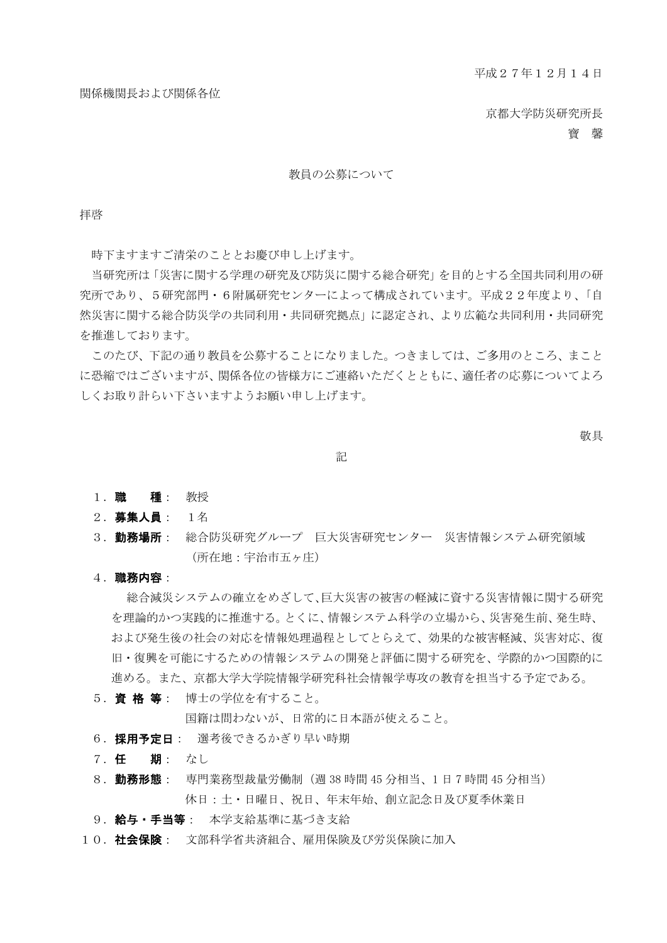京都大学防災研究所長

寶 馨

#### 教員の公募について

拝啓

時下ますますご清栄のこととお慶び申し上げます。

当研究所は「災害に関する学理の研究及び防災に関する総合研究」を目的とする全国共同利用の研 究所であり、5研究部門・6附属研究センターによって構成されています。平成22年度より、「自 然災害に関する総合防災学の共同利用・共同研究拠点」に認定され、より広範な共同利用・共同研究 を推進しております。

このたび、下記の通り教員を公募することになりました。つきましては、ご多用のところ、まこと に恐縮ではございますが、関係各位の皆様方にご連絡いただくとともに、適任者の応募についてよろ しくお取り計らい下さいますようお願い申し上げます。

敬具

記

- 1. 職 種: 教授
- 2. 募集人員: 1名
- 3. 勤務場所: 総合防災研究グループ 巨大災害研究センター 災害情報システム研究領域 (所在地:宇治市五ヶ庄)
- 4.職務内容:

総合減災システムの確立をめざして、巨大災害の被害の軽減に資する災害情報に関する研究 を理論的かつ実践的に推進する。とくに、情報システム科学の立場から、災害発生前、発生時、 および発生後の社会の対応を情報処理過程としてとらえて、効果的な被害軽減、災害対応、復 旧・復興を可能にするための情報システムの開発と評価に関する研究を、学際的かつ国際的に 進める。また、京都大学大学院情報学研究科社会情報学専攻の教育を担当する予定である。

5. 資 格 等: 博士の学位を有すること。

国籍は問わないが、日常的に日本語が使えること。

- 6. 採用予定日: 選考後できるかぎり早い時期
- 7.任 期: なし
- 8. 勤務形態: 専門業務型裁量労働制 (週 38 時間 45 分相当、1 日 7 時間 45 分相当) 休日:土・日曜日、祝日、年末年始、創立記念日及び夏季休業日
- 9. 給与·手当等: 本学支給基準に基づき支給
- 10. 社会保険: 文部科学省共済組合、雇用保険及び労災保険に加入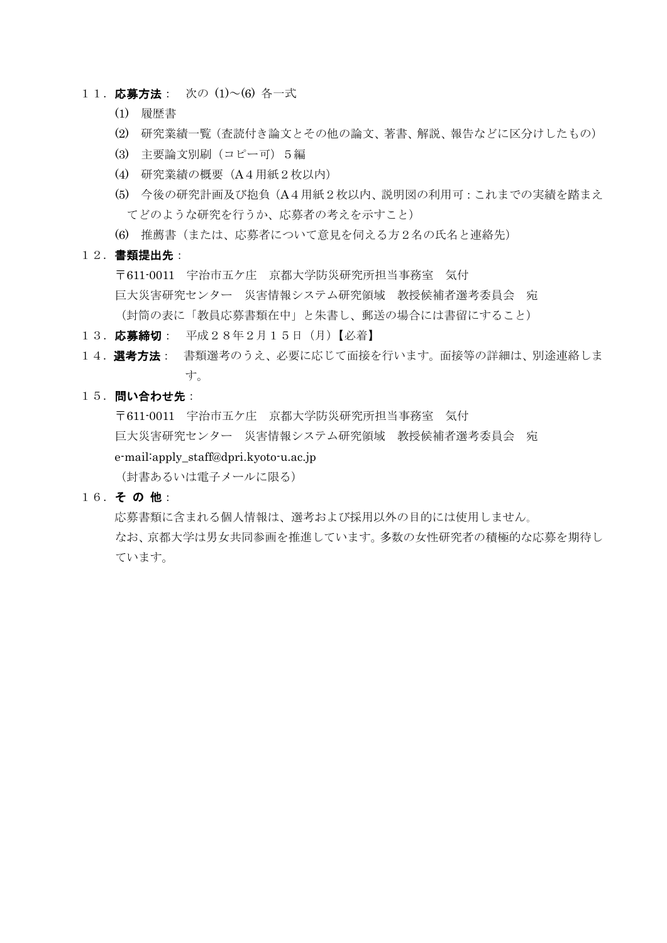- 11. 応募方法: 次の (1)~(6) 各一式
	- (1) 履歴書
	- (2) 研究業績一覧(査読付き論文とその他の論文、著書、解説、報告などに区分けしたもの)
	- (3) 主要論文別刷(コピー可)5編
	- (4) 研究業績の概要(A4用紙2枚以内)
	- (5) 今後の研究計画及び抱負(A4用紙2枚以内、説明図の利用可:これまでの実績を踏まえ てどのような研究を行うか、応募者の考えを示すこと)
	- (6) 推薦書(または、応募者について意見を伺える方2名の氏名と連絡先)
- 12.書類提出先:

〒611-0011 宇治市五ケ庄 京都大学防災研究所担当事務室 気付 巨大災害研究センター 災害情報システム研究領域 教授候補者選考委員会 宛 (封筒の表に「教員応募書類在中」と朱書し、郵送の場合には書留にすること)

- 13. 応募締切: 平成28年2月15日 (月)【必着】
- 14. 選考方法: 書類選考のうえ、必要に応じて面接を行います。面接等の詳細は、別途連絡しま す。
- 15. 問い合わせ先:

〒611-0011 宇治市五ケ庄 京都大学防災研究所担当事務室 気付 巨大災害研究センター 災害情報システム研究領域 教授候補者選考委員会 宛 e-mail:apply\_staff@dpri.kyoto-u.ac.jp (封書あるいは電子メールに限る)

16.そ の 他:

応募書類に含まれる個人情報は、選考および採用以外の目的には使用しません。 なお、京都大学は男女共同参画を推進しています。多数の女性研究者の積極的な応募を期待し ています。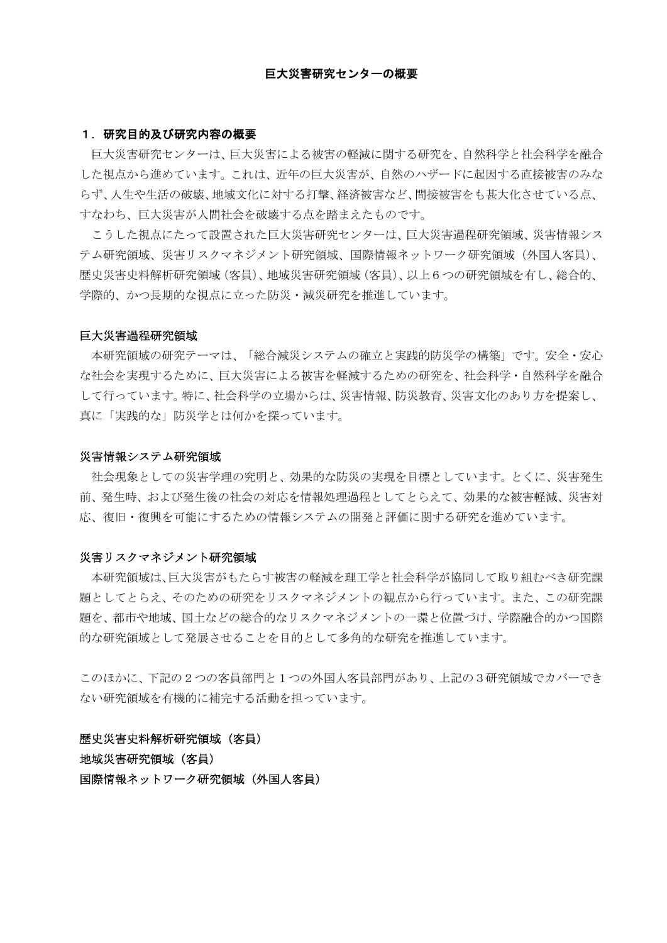#### 1.研究目的及び研究内容の概要

巨大災害研究センターは、巨大災害による被害の軽減に関する研究を、自然科学と社会科学を融合 した視点から進めています。これは、近年の巨大災害が、自然のハザードに起因する直接被害のみな らず、人生や生活の破壊、地域文化に対する打撃、経済被害など、間接被害をも甚大化させている点、 すなわち、巨大災害が人間社会を破壊する点を踏まえたものです。

こうした視点にたって設置された巨大災害研究センターは、巨大災害過程研究領域、災害情報シス テム研究領域、災害リスクマネジメント研究領域、国際情報ネットワーク研究領域(外国人客員)、 歴史災害史料解析研究領域(客員)、地域災害研究領域(客員)、以上6つの研究領域を有し、総合的、 学際的、かつ長期的な視点に立った防災・減災研究を推進しています。

#### 巨大災害過程研究領域

本研究領域の研究テーマは、「総合減災システムの確立と実践的防災学の構築」です。安全・安心 な社会を実現するために、巨大災害による被害を軽減するための研究を、社会科学・自然科学を融合 して行っています。特に、社会科学の立場からは、災害情報、防災教育、災害文化のあり方を提案し、 真に「実践的な」防災学とは何かを探っています。

## 災害情報システム研究領域

社会現象としての災害学理の究明と、効果的な防災の実現を目標としています。とくに、災害発生 前、発生時、および発生後の社会の対応を情報処理過程としてとらえて、効果的な被害軽減、災害対 応、復旧・復興を可能にするための情報システムの開発と評価に関する研究を進めています。

#### 災害リスクマネジメント研究領域

本研究領域は、巨大災害がもたらす被害の軽減を理工学と社会科学が協同して取り組むべき研究課 題としてとらえ、そのための研究をリスクマネジメントの観点から行っています。また、この研究課 題を、都市や地域、国土などの総合的なリスクマネジメントの一環と位置づけ、学際融合的かつ国際 的な研究領域として発展させることを目的として多角的な研究を推進しています。

このほかに、下記の2つの客員部門人客員部門がある。上記の3研究領域でカバーでき ない研究領域を有機的に補完する活動を担っています。

### 歴史災害史料解析研究領域(客員)

地域災害研究領域(客員)

国際情報ネットワーク研究領域(外国人客員)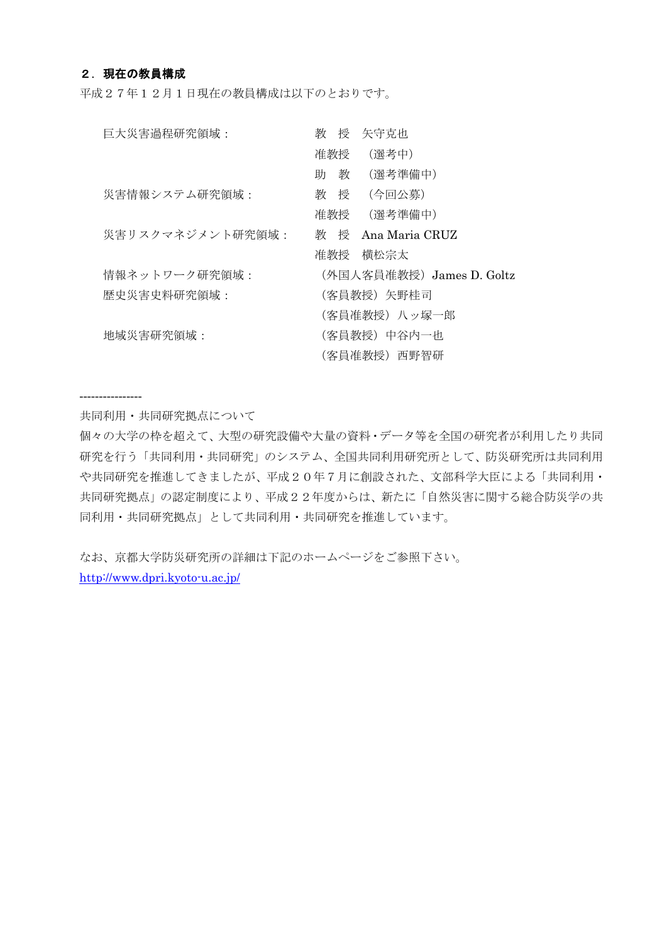## 2. 現在の教員構成

平成27年12月1日現在の教員構成は以下のとおりです。

| 巨大災害過程研究領域:      | 授<br>矢守克也<br>教           |
|------------------|--------------------------|
|                  | 准教授<br>(選考中)             |
|                  | 助<br>教<br>(選考準備中)        |
| 災害情報システム研究領域:    | 教授<br>(今回公募)             |
|                  | 准教授<br>(選考準備中)           |
| 災害リスクマネジメント研究領域: | 教 授 Ana Maria CRUZ       |
|                  | 准教授<br>横松宗太              |
| 情報ネットワーク研究領域:    | (外国人客員准教授)James D. Goltz |
| 歴史災害史料研究領域 :     | (客員教授)矢野桂司               |
|                  | (客員准教授) 八ッ塚一郎            |
| 地域災害研究領域:        | (客員教授)中谷内一也              |
|                  | (客員准教授)西野智研              |

----------------

共同利用・共同研究拠点について

個々の大学の枠を超えて、大型の研究設備や大量の資料・データ等を全国の研究者が利用したり共同 研究を行う「共同利用・共同研究」のシステム、全国共同利用研究所として、防災研究所は共同利用 や共同研究を推進してきましたが、平成20年7月に創設された、文部科学大臣による「共同利用・ 共同研究拠点」の認定制度により、平成22年度からは、新たに「自然災害に関する総合防災学の共 同利用・共同研究拠点」として共同利用・共同研究を推進しています。

なお、京都大学防災研究所の詳細は下記のホームページをご参照下さい。 http://www.dpri.kyoto-u.ac.jp/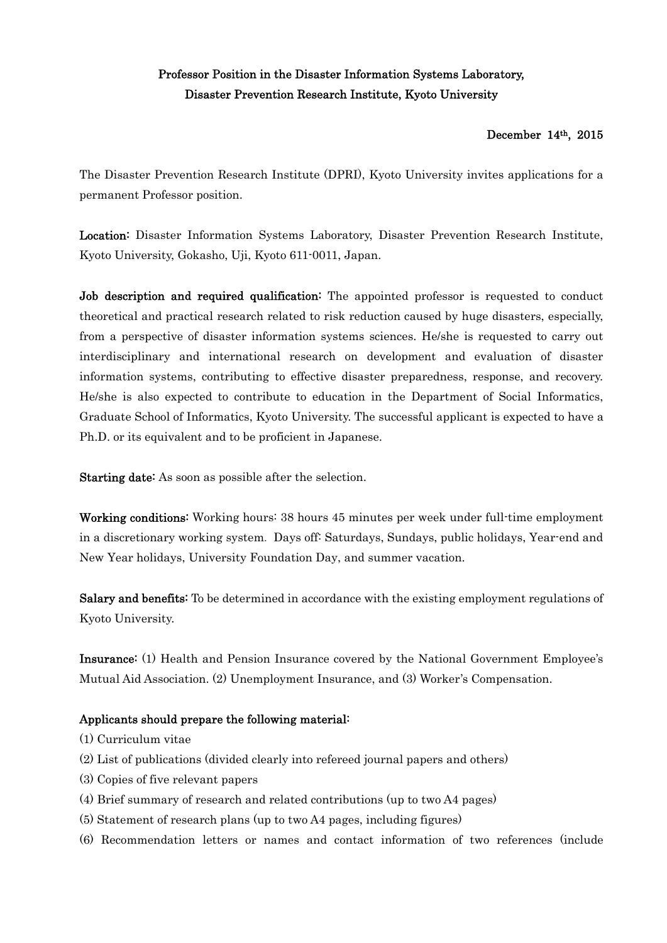# Professor Position in the Disaster Information Systems Laboratory, Disaster Prevention Research Institute, Kyoto University

# December 14th, 2015

The Disaster Prevention Research Institute (DPRI), Kyoto University invites applications for a permanent Professor position.

Location: Disaster Information Systems Laboratory, Disaster Prevention Research Institute, Kyoto University, Gokasho, Uji, Kyoto 611-0011, Japan.

Job description and required qualification: The appointed professor is requested to conduct theoretical and practical research related to risk reduction caused by huge disasters, especially, from a perspective of disaster information systems sciences. He/she is requested to carry out interdisciplinary and international research on development and evaluation of disaster information systems, contributing to effective disaster preparedness, response, and recovery. He/she is also expected to contribute to education in the Department of Social Informatics, Graduate School of Informatics, Kyoto University. The successful applicant is expected to have a Ph.D. or its equivalent and to be proficient in Japanese.

Starting date: As soon as possible after the selection.

Working conditions: Working hours: 38 hours 45 minutes per week under full-time employment in a discretionary working system. Days off: Saturdays, Sundays, public holidays, Year-end and New Year holidays, University Foundation Day, and summer vacation.

Salary and benefits: To be determined in accordance with the existing employment regulations of Kyoto University.

Insurance: (1) Health and Pension Insurance covered by the National Government Employee's Mutual Aid Association. (2) Unemployment Insurance, and (3) Worker's Compensation.

# Applicants should prepare the following material:

- (1) Curriculum vitae
- (2) List of publications (divided clearly into refereed journal papers and others)
- (3) Copies of five relevant papers
- (4) Brief summary of research and related contributions (up to two A4 pages)
- (5) Statement of research plans (up to two A4 pages, including figures)
- (6) Recommendation letters or names and contact information of two references (include